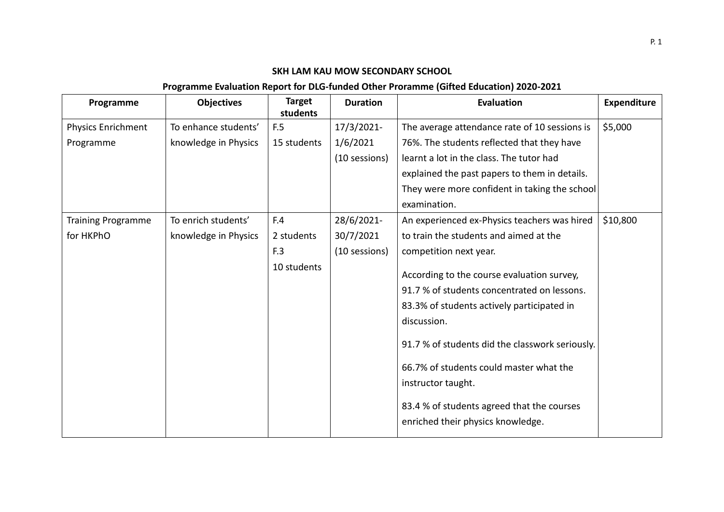## **SKH LAM KAU MOW SECONDARY SCHOOL**

## **Programme Evaluation Report for DLG-funded Other Proramme (Gifted Education) 2020-2021**

| Programme                 | <b>Objectives</b>    | <b>Target</b><br>students | <b>Duration</b> | <b>Evaluation</b>                                                                                                                                                                                                                                                                                                                                             | <b>Expenditure</b> |
|---------------------------|----------------------|---------------------------|-----------------|---------------------------------------------------------------------------------------------------------------------------------------------------------------------------------------------------------------------------------------------------------------------------------------------------------------------------------------------------------------|--------------------|
| <b>Physics Enrichment</b> | To enhance students' | F.5                       | 17/3/2021-      | The average attendance rate of 10 sessions is                                                                                                                                                                                                                                                                                                                 | \$5,000            |
| Programme                 | knowledge in Physics | 15 students               | 1/6/2021        | 76%. The students reflected that they have                                                                                                                                                                                                                                                                                                                    |                    |
|                           |                      |                           | (10 sessions)   | learnt a lot in the class. The tutor had                                                                                                                                                                                                                                                                                                                      |                    |
|                           |                      |                           |                 | explained the past papers to them in details.                                                                                                                                                                                                                                                                                                                 |                    |
|                           |                      |                           |                 | They were more confident in taking the school                                                                                                                                                                                                                                                                                                                 |                    |
|                           |                      |                           |                 | examination.                                                                                                                                                                                                                                                                                                                                                  |                    |
| <b>Training Programme</b> | To enrich students'  | F.4                       | 28/6/2021-      | An experienced ex-Physics teachers was hired                                                                                                                                                                                                                                                                                                                  | \$10,800           |
| for HKPhO                 | knowledge in Physics | 2 students                | 30/7/2021       | to train the students and aimed at the                                                                                                                                                                                                                                                                                                                        |                    |
|                           |                      | F.3                       | (10 sessions)   | competition next year.                                                                                                                                                                                                                                                                                                                                        |                    |
|                           |                      | 10 students               |                 | According to the course evaluation survey,<br>91.7 % of students concentrated on lessons.<br>83.3% of students actively participated in<br>discussion.<br>91.7 % of students did the classwork seriously.<br>66.7% of students could master what the<br>instructor taught.<br>83.4 % of students agreed that the courses<br>enriched their physics knowledge. |                    |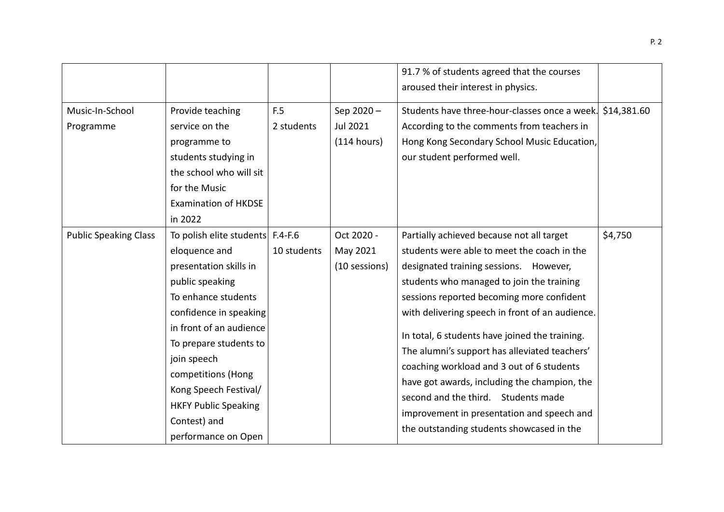|                              |                                                                                                                                                                                                                                                                                                                                          |                   |                                             | 91.7 % of students agreed that the courses<br>aroused their interest in physics.                                                                                                                                                                                                                                                                                                                                                                                                                                                                                                                                  |             |
|------------------------------|------------------------------------------------------------------------------------------------------------------------------------------------------------------------------------------------------------------------------------------------------------------------------------------------------------------------------------------|-------------------|---------------------------------------------|-------------------------------------------------------------------------------------------------------------------------------------------------------------------------------------------------------------------------------------------------------------------------------------------------------------------------------------------------------------------------------------------------------------------------------------------------------------------------------------------------------------------------------------------------------------------------------------------------------------------|-------------|
| Music-In-School<br>Programme | Provide teaching<br>service on the<br>programme to<br>students studying in<br>the school who will sit<br>for the Music<br><b>Examination of HKDSE</b><br>in 2022                                                                                                                                                                         | F.5<br>2 students | Sep 2020-<br><b>Jul 2021</b><br>(114 hours) | Students have three-hour-classes once a week.<br>According to the comments from teachers in<br>Hong Kong Secondary School Music Education,<br>our student performed well.                                                                                                                                                                                                                                                                                                                                                                                                                                         | \$14,381.60 |
| <b>Public Speaking Class</b> | To polish elite students F.4-F.6<br>eloquence and<br>presentation skills in<br>public speaking<br>To enhance students<br>confidence in speaking<br>in front of an audience<br>To prepare students to<br>join speech<br>competitions (Hong<br>Kong Speech Festival/<br><b>HKFY Public Speaking</b><br>Contest) and<br>performance on Open | 10 students       | Oct 2020 -<br>May 2021<br>(10 sessions)     | Partially achieved because not all target<br>students were able to meet the coach in the<br>designated training sessions. However,<br>students who managed to join the training<br>sessions reported becoming more confident<br>with delivering speech in front of an audience.<br>In total, 6 students have joined the training.<br>The alumni's support has alleviated teachers'<br>coaching workload and 3 out of 6 students<br>have got awards, including the champion, the<br>second and the third. Students made<br>improvement in presentation and speech and<br>the outstanding students showcased in the | \$4,750     |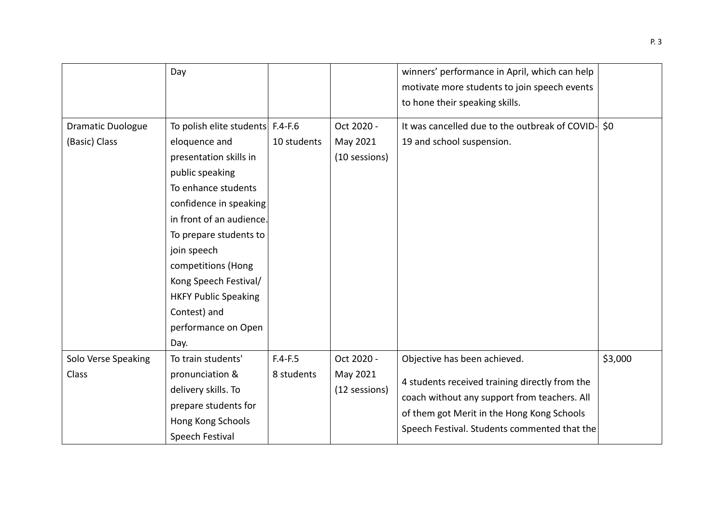|                          | Day                              |             |               | winners' performance in April, which can help      |         |
|--------------------------|----------------------------------|-------------|---------------|----------------------------------------------------|---------|
|                          |                                  |             |               | motivate more students to join speech events       |         |
|                          |                                  |             |               | to hone their speaking skills.                     |         |
|                          |                                  |             |               |                                                    |         |
| <b>Dramatic Duologue</b> | To polish elite students F.4-F.6 |             | Oct 2020 -    | It was cancelled due to the outbreak of COVID- \$0 |         |
| (Basic) Class            | eloquence and                    | 10 students | May 2021      | 19 and school suspension.                          |         |
|                          | presentation skills in           |             | (10 sessions) |                                                    |         |
|                          | public speaking                  |             |               |                                                    |         |
|                          | To enhance students              |             |               |                                                    |         |
|                          | confidence in speaking           |             |               |                                                    |         |
|                          | in front of an audience.         |             |               |                                                    |         |
|                          | To prepare students to           |             |               |                                                    |         |
|                          | join speech                      |             |               |                                                    |         |
|                          | competitions (Hong               |             |               |                                                    |         |
|                          | Kong Speech Festival/            |             |               |                                                    |         |
|                          | <b>HKFY Public Speaking</b>      |             |               |                                                    |         |
|                          | Contest) and                     |             |               |                                                    |         |
|                          | performance on Open              |             |               |                                                    |         |
|                          | Day.                             |             |               |                                                    |         |
| Solo Verse Speaking      | To train students'               | $F.4-F.5$   | Oct 2020 -    | Objective has been achieved.                       | \$3,000 |
| Class                    | pronunciation &                  | 8 students  | May 2021      |                                                    |         |
|                          | delivery skills. To              |             | (12 sessions) | 4 students received training directly from the     |         |
|                          | prepare students for             |             |               | coach without any support from teachers. All       |         |
|                          | Hong Kong Schools                |             |               | of them got Merit in the Hong Kong Schools         |         |
|                          | Speech Festival                  |             |               | Speech Festival. Students commented that the       |         |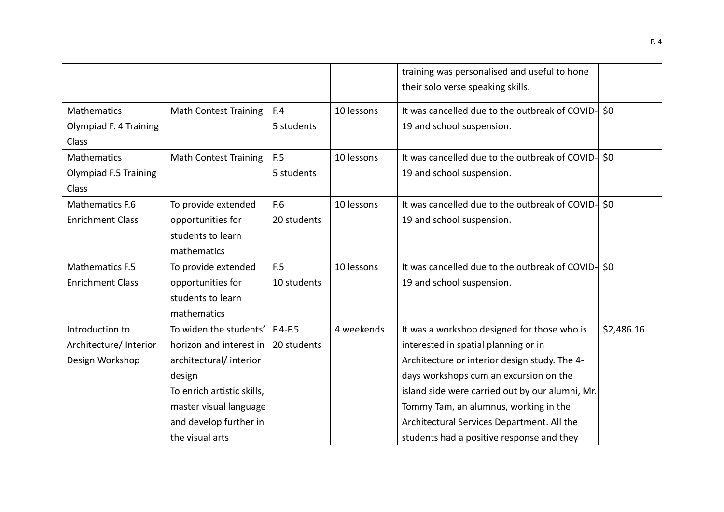|                         |                              |             |            | training was personalised and useful to hone       |            |
|-------------------------|------------------------------|-------------|------------|----------------------------------------------------|------------|
|                         |                              |             |            | their solo verse speaking skills.                  |            |
| Mathematics             | <b>Math Contest Training</b> | F.4         | 10 lessons | It was cancelled due to the outbreak of COVID-     | \$0        |
| Olympiad F. 4 Training  |                              | 5 students  |            | 19 and school suspension.                          |            |
| Class                   |                              |             |            |                                                    |            |
| <b>Mathematics</b>      | <b>Math Contest Training</b> | F.5         | 10 lessons | It was cancelled due to the outbreak of COVID-     | \$0        |
| Olympiad F.5 Training   |                              | 5 students  |            | 19 and school suspension.                          |            |
| Class                   |                              |             |            |                                                    |            |
| Mathematics F.6         | To provide extended          | F.6         | 10 lessons | It was cancelled due to the outbreak of COVID-     | \$0        |
| <b>Enrichment Class</b> | opportunities for            | 20 students |            | 19 and school suspension.                          |            |
|                         | students to learn            |             |            |                                                    |            |
|                         | mathematics                  |             |            |                                                    |            |
| <b>Mathematics F.5</b>  | To provide extended          | F.5         | 10 lessons | It was cancelled due to the outbreak of COVID- \$0 |            |
| <b>Enrichment Class</b> | opportunities for            | 10 students |            | 19 and school suspension.                          |            |
|                         | students to learn            |             |            |                                                    |            |
|                         | mathematics                  |             |            |                                                    |            |
| Introduction to         | To widen the students'       | $F.4-F.5$   | 4 weekends | It was a workshop designed for those who is        | \$2,486.16 |
| Architecture/ Interior  | horizon and interest in      | 20 students |            | interested in spatial planning or in               |            |
| Design Workshop         | architectural/interior       |             |            | Architecture or interior design study. The 4-      |            |
|                         | design                       |             |            | days workshops cum an excursion on the             |            |
|                         | To enrich artistic skills,   |             |            | island side were carried out by our alumni, Mr.    |            |
|                         | master visual language       |             |            | Tommy Tam, an alumnus, working in the              |            |
|                         | and develop further in       |             |            | Architectural Services Department. All the         |            |
|                         | the visual arts              |             |            | students had a positive response and they          |            |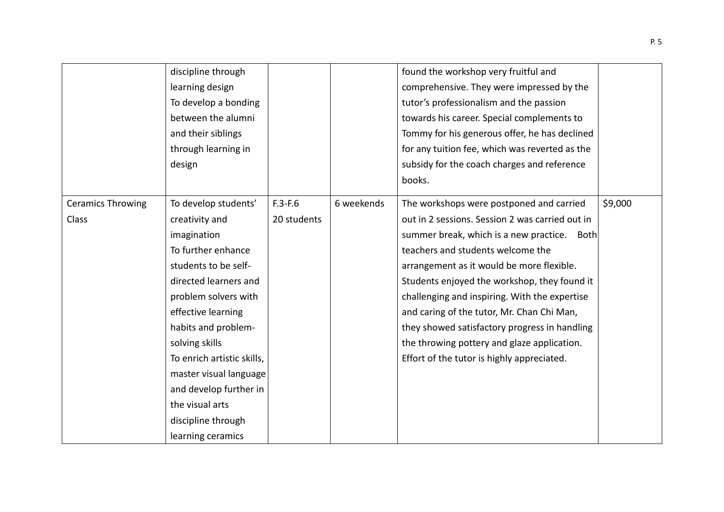|                          | discipline through         |             |            | found the workshop very fruitful and            |         |
|--------------------------|----------------------------|-------------|------------|-------------------------------------------------|---------|
|                          | learning design            |             |            | comprehensive. They were impressed by the       |         |
|                          | To develop a bonding       |             |            | tutor's professionalism and the passion         |         |
|                          | between the alumni         |             |            | towards his career. Special complements to      |         |
|                          | and their siblings         |             |            | Tommy for his generous offer, he has declined   |         |
|                          | through learning in        |             |            | for any tuition fee, which was reverted as the  |         |
|                          | design                     |             |            | subsidy for the coach charges and reference     |         |
|                          |                            |             |            | books.                                          |         |
| <b>Ceramics Throwing</b> | To develop students'       | $F.3-F.6$   | 6 weekends | The workshops were postponed and carried        | \$9,000 |
| Class                    | creativity and             | 20 students |            | out in 2 sessions. Session 2 was carried out in |         |
|                          | imagination                |             |            | summer break, which is a new practice. Both     |         |
|                          | To further enhance         |             |            | teachers and students welcome the               |         |
|                          | students to be self-       |             |            | arrangement as it would be more flexible.       |         |
|                          | directed learners and      |             |            | Students enjoyed the workshop, they found it    |         |
|                          | problem solvers with       |             |            | challenging and inspiring. With the expertise   |         |
|                          | effective learning         |             |            | and caring of the tutor, Mr. Chan Chi Man,      |         |
|                          | habits and problem-        |             |            | they showed satisfactory progress in handling   |         |
|                          | solving skills             |             |            | the throwing pottery and glaze application.     |         |
|                          | To enrich artistic skills, |             |            | Effort of the tutor is highly appreciated.      |         |
|                          | master visual language     |             |            |                                                 |         |
|                          | and develop further in     |             |            |                                                 |         |
|                          | the visual arts            |             |            |                                                 |         |
|                          | discipline through         |             |            |                                                 |         |
|                          | learning ceramics          |             |            |                                                 |         |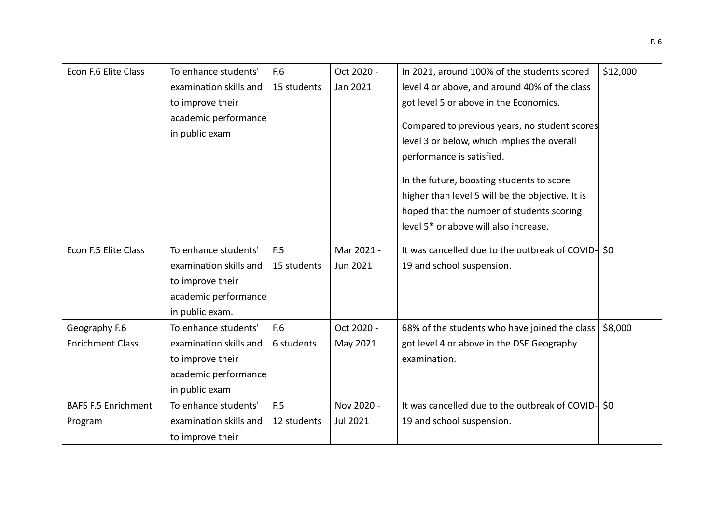| Econ F.6 Elite Class       | To enhance students'   | F.6         | Oct 2020 - | In 2021, around 100% of the students scored        | \$12,000 |
|----------------------------|------------------------|-------------|------------|----------------------------------------------------|----------|
|                            | examination skills and | 15 students | Jan 2021   | level 4 or above, and around 40% of the class      |          |
|                            | to improve their       |             |            | got level 5 or above in the Economics.             |          |
|                            | academic performance   |             |            | Compared to previous years, no student scores      |          |
|                            | in public exam         |             |            |                                                    |          |
|                            |                        |             |            | level 3 or below, which implies the overall        |          |
|                            |                        |             |            | performance is satisfied.                          |          |
|                            |                        |             |            | In the future, boosting students to score          |          |
|                            |                        |             |            | higher than level 5 will be the objective. It is   |          |
|                            |                        |             |            | hoped that the number of students scoring          |          |
|                            |                        |             |            | level 5 <sup>*</sup> or above will also increase.  |          |
|                            |                        |             |            |                                                    |          |
| Econ F.5 Elite Class       | To enhance students'   | F.5         | Mar 2021 - | It was cancelled due to the outbreak of COVID- \$0 |          |
|                            | examination skills and | 15 students | Jun 2021   | 19 and school suspension.                          |          |
|                            | to improve their       |             |            |                                                    |          |
|                            | academic performance   |             |            |                                                    |          |
|                            | in public exam.        |             |            |                                                    |          |
| Geography F.6              | To enhance students'   | F.6         | Oct 2020 - | 68% of the students who have joined the class      | \$8,000  |
| <b>Enrichment Class</b>    | examination skills and | 6 students  | May 2021   | got level 4 or above in the DSE Geography          |          |
|                            | to improve their       |             |            | examination.                                       |          |
|                            | academic performance   |             |            |                                                    |          |
|                            | in public exam         |             |            |                                                    |          |
| <b>BAFS F.5 Enrichment</b> | To enhance students'   | F.5         | Nov 2020 - | It was cancelled due to the outbreak of COVID- \$0 |          |
| Program                    | examination skills and | 12 students | Jul 2021   | 19 and school suspension.                          |          |
|                            | to improve their       |             |            |                                                    |          |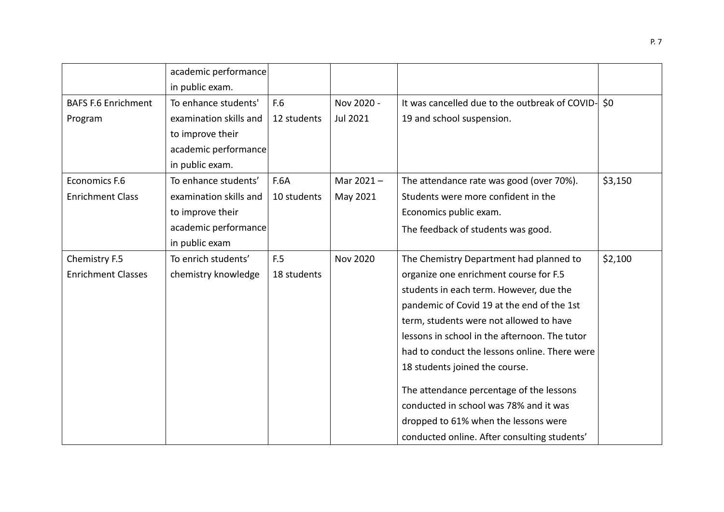|                            | academic performance   |             |                 |                                                    |         |
|----------------------------|------------------------|-------------|-----------------|----------------------------------------------------|---------|
|                            | in public exam.        |             |                 |                                                    |         |
| <b>BAFS F.6 Enrichment</b> | To enhance students'   | F.6         | Nov 2020 -      | It was cancelled due to the outbreak of COVID- \$0 |         |
| Program                    | examination skills and | 12 students | Jul 2021        | 19 and school suspension.                          |         |
|                            | to improve their       |             |                 |                                                    |         |
|                            | academic performance   |             |                 |                                                    |         |
|                            | in public exam.        |             |                 |                                                    |         |
| Economics F.6              | To enhance students'   | <b>F.6A</b> | Mar $2021 -$    | The attendance rate was good (over 70%).           | \$3,150 |
| <b>Enrichment Class</b>    | examination skills and | 10 students | May 2021        | Students were more confident in the                |         |
|                            | to improve their       |             |                 | Economics public exam.                             |         |
|                            | academic performance   |             |                 | The feedback of students was good.                 |         |
|                            | in public exam         |             |                 |                                                    |         |
| Chemistry F.5              | To enrich students'    | F.5         | <b>Nov 2020</b> | The Chemistry Department had planned to            | \$2,100 |
| <b>Enrichment Classes</b>  | chemistry knowledge    | 18 students |                 | organize one enrichment course for F.5             |         |
|                            |                        |             |                 | students in each term. However, due the            |         |
|                            |                        |             |                 | pandemic of Covid 19 at the end of the 1st         |         |
|                            |                        |             |                 | term, students were not allowed to have            |         |
|                            |                        |             |                 | lessons in school in the afternoon. The tutor      |         |
|                            |                        |             |                 | had to conduct the lessons online. There were      |         |
|                            |                        |             |                 | 18 students joined the course.                     |         |
|                            |                        |             |                 | The attendance percentage of the lessons           |         |
|                            |                        |             |                 | conducted in school was 78% and it was             |         |
|                            |                        |             |                 | dropped to 61% when the lessons were               |         |
|                            |                        |             |                 | conducted online. After consulting students'       |         |